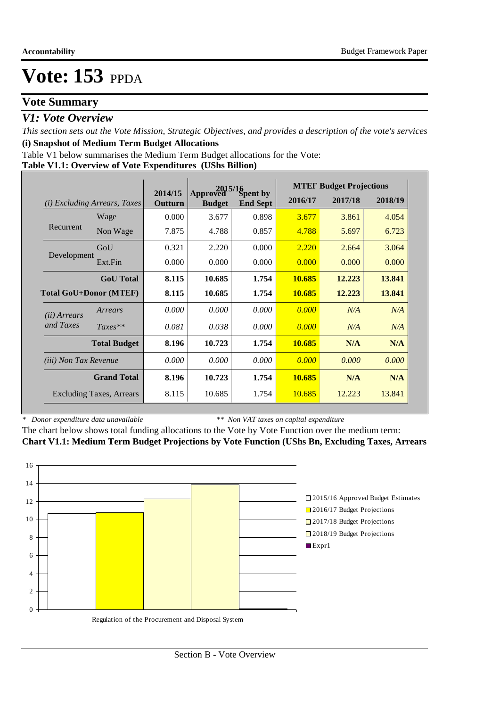## **Vote Summary**

### *V1: Vote Overview*

*This section sets out the Vote Mission, Strategic Objectives, and provides a description of the vote's services* **(i) Snapshot of Medium Term Budget Allocations** 

Table V1 below summarises the Medium Term Budget allocations for the Vote:

**Table V1.1: Overview of Vote Expenditures (UShs Billion)**

|                               |                                 |                    | 2015/16                   |                             |                                                                                                                                                                                                                       |        |         |
|-------------------------------|---------------------------------|--------------------|---------------------------|-----------------------------|-----------------------------------------------------------------------------------------------------------------------------------------------------------------------------------------------------------------------|--------|---------|
| (i)                           | <i>Excluding Arrears, Taxes</i> | 2014/15<br>Outturn | Approved<br><b>Budget</b> | Spent by<br><b>End Sept</b> | <b>MTEF Budget Projections</b><br>2016/17<br>2017/18<br>3.677<br>3.861<br>4.788<br>5.697<br>2.220<br>2.664<br>0.000<br>0.000<br>10.685<br>12.223<br>10.685<br>12.223<br>0.000<br>N/A<br>0.000<br>N/A<br>10.685<br>N/A |        | 2018/19 |
|                               | Wage                            | 0.000              | 3.677                     | 0.898                       |                                                                                                                                                                                                                       |        | 4.054   |
| Recurrent                     | Non Wage                        | 7.875              | 4.788                     | 0.857                       |                                                                                                                                                                                                                       |        | 6.723   |
|                               | GoU                             | 0.321              | 2.220                     | 0.000                       |                                                                                                                                                                                                                       |        | 3.064   |
| Development                   | Ext.Fin                         | 0.000              | 0.000                     | 0.000                       |                                                                                                                                                                                                                       |        | 0.000   |
|                               | <b>GoU</b> Total                | 8.115              | 10.685                    | 1.754                       |                                                                                                                                                                                                                       |        | 13.841  |
| <b>Total GoU+Donor (MTEF)</b> |                                 | 8.115              | 10.685                    | 1.754                       |                                                                                                                                                                                                                       |        | 13.841  |
| ( <i>ii</i> ) Arrears         | Arrears                         | 0.000              | 0.000                     | 0.000                       |                                                                                                                                                                                                                       |        | N/A     |
| and Taxes                     | $Taxes**$                       | 0.081              | 0.038                     | 0.000                       |                                                                                                                                                                                                                       |        | N/A     |
|                               | <b>Total Budget</b>             | 8.196              | 10.723                    | 1.754                       |                                                                                                                                                                                                                       |        | N/A     |
| <i>(iii)</i> Non Tax Revenue  |                                 | 0.000              | 0.000                     | 0.000                       | 0.000                                                                                                                                                                                                                 | 0.000  | 0.000   |
|                               | <b>Grand Total</b>              | 8.196              | 10.723                    | 1.754                       | 10.685                                                                                                                                                                                                                | N/A    | N/A     |
|                               | <b>Excluding Taxes, Arrears</b> | 8.115              | 10.685                    | 1.754                       | 10.685                                                                                                                                                                                                                | 12.223 | 13.841  |

*\* Donor expenditure data unavailable*

*\*\* Non VAT taxes on capital expenditure*

The chart below shows total funding allocations to the Vote by Vote Function over the medium term: **Chart V1.1: Medium Term Budget Projections by Vote Function (UShs Bn, Excluding Taxes, Arrears**

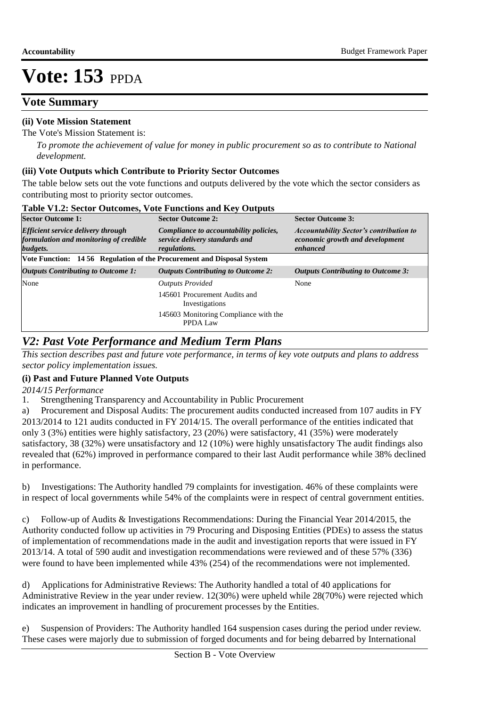## **Vote Summary**

### **(ii) Vote Mission Statement**

The Vote's Mission Statement is:

*To promote the achievement of value for money in public procurement so as to contribute to National development.*

### **(iii) Vote Outputs which Contribute to Priority Sector Outcomes**

The table below sets out the vote functions and outputs delivered by the vote which the sector considers as contributing most to priority sector outcomes.

| <b>Sector Outcome 1:</b>                                                                        | <b>Sector Outcome 2:</b>                                                                 | <b>Sector Outcome 3:</b>                                                                      |  |  |  |  |
|-------------------------------------------------------------------------------------------------|------------------------------------------------------------------------------------------|-----------------------------------------------------------------------------------------------|--|--|--|--|
| <b>Efficient service delivery through</b><br>formulation and monitoring of credible<br>budgets. | Compliance to accountability policies,<br>service delivery standards and<br>regulations. | <b>Accountability Sector's contribution to</b><br>economic growth and development<br>enhanced |  |  |  |  |
| Vote Function: 14 56 Regulation of the Procurement and Disposal System                          |                                                                                          |                                                                                               |  |  |  |  |
| <b>Outputs Contributing to Outcome 1:</b>                                                       | <b>Outputs Contributing to Outcome 2:</b>                                                | <b>Outputs Contributing to Outcome 3:</b>                                                     |  |  |  |  |
| None                                                                                            | <b>Outputs Provided</b>                                                                  | None                                                                                          |  |  |  |  |
|                                                                                                 | 145601 Procurement Audits and<br>Investigations                                          |                                                                                               |  |  |  |  |
|                                                                                                 | 145603 Monitoring Compliance with the<br>PPDA Law                                        |                                                                                               |  |  |  |  |

#### **Table V1.2: Sector Outcomes, Vote Functions and Key Outputs**

### *V2: Past Vote Performance and Medium Term Plans*

*This section describes past and future vote performance, in terms of key vote outputs and plans to address sector policy implementation issues.* 

### **(i) Past and Future Planned Vote Outputs**

*2014/15 Performance*

1. Strengthening Transparency and Accountability in Public Procurement

a) Procurement and Disposal Audits: The procurement audits conducted increased from 107 audits in FY 2013/2014 to 121 audits conducted in FY 2014/15. The overall performance of the entities indicated that only 3 (3%) entities were highly satisfactory, 23 (20%) were satisfactory, 41 (35%) were moderately satisfactory, 38 (32%) were unsatisfactory and 12 (10%) were highly unsatisfactory The audit findings also revealed that (62%) improved in performance compared to their last Audit performance while 38% declined in performance.

b) Investigations: The Authority handled 79 complaints for investigation. 46% of these complaints were in respect of local governments while 54% of the complaints were in respect of central government entities.

c) Follow-up of Audits & Investigations Recommendations: During the Financial Year 2014/2015, the Authority conducted follow up activities in 79 Procuring and Disposing Entities (PDEs) to assess the status of implementation of recommendations made in the audit and investigation reports that were issued in FY 2013/14. A total of 590 audit and investigation recommendations were reviewed and of these 57% (336) were found to have been implemented while 43% (254) of the recommendations were not implemented.

d) Applications for Administrative Reviews: The Authority handled a total of 40 applications for Administrative Review in the year under review. 12(30%) were upheld while 28(70%) were rejected which indicates an improvement in handling of procurement processes by the Entities.

e) Suspension of Providers: The Authority handled 164 suspension cases during the period under review. These cases were majorly due to submission of forged documents and for being debarred by International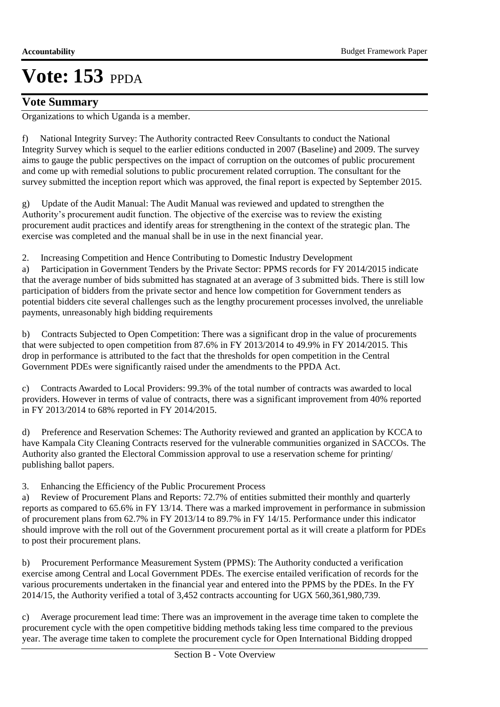### **Vote Summary**

Organizations to which Uganda is a member.

f) National Integrity Survey: The Authority contracted Reev Consultants to conduct the National Integrity Survey which is sequel to the earlier editions conducted in 2007 (Baseline) and 2009. The survey aims to gauge the public perspectives on the impact of corruption on the outcomes of public procurement and come up with remedial solutions to public procurement related corruption. The consultant for the survey submitted the inception report which was approved, the final report is expected by September 2015.

g) Update of the Audit Manual: The Audit Manual was reviewed and updated to strengthen the Authority's procurement audit function. The objective of the exercise was to review the existing procurement audit practices and identify areas for strengthening in the context of the strategic plan. The exercise was completed and the manual shall be in use in the next financial year.

2. Increasing Competition and Hence Contributing to Domestic Industry Development

a) Participation in Government Tenders by the Private Sector: PPMS records for FY 2014/2015 indicate that the average number of bids submitted has stagnated at an average of 3 submitted bids. There is still low participation of bidders from the private sector and hence low competition for Government tenders as potential bidders cite several challenges such as the lengthy procurement processes involved, the unreliable payments, unreasonably high bidding requirements

b) Contracts Subjected to Open Competition: There was a significant drop in the value of procurements that were subjected to open competition from 87.6% in FY 2013/2014 to 49.9% in FY 2014/2015. This drop in performance is attributed to the fact that the thresholds for open competition in the Central Government PDEs were significantly raised under the amendments to the PPDA Act.

Contracts Awarded to Local Providers: 99.3% of the total number of contracts was awarded to local providers. However in terms of value of contracts, there was a significant improvement from 40% reported in FY 2013/2014 to 68% reported in FY 2014/2015.

d) Preference and Reservation Schemes: The Authority reviewed and granted an application by KCCA to have Kampala City Cleaning Contracts reserved for the vulnerable communities organized in SACCOs. The Authority also granted the Electoral Commission approval to use a reservation scheme for printing/ publishing ballot papers.

3. Enhancing the Efficiency of the Public Procurement Process

a) Review of Procurement Plans and Reports: 72.7% of entities submitted their monthly and quarterly reports as compared to 65.6% in FY 13/14. There was a marked improvement in performance in submission of procurement plans from 62.7% in FY 2013/14 to 89.7% in FY 14/15. Performance under this indicator should improve with the roll out of the Government procurement portal as it will create a platform for PDEs to post their procurement plans.

b) Procurement Performance Measurement System (PPMS): The Authority conducted a verification exercise among Central and Local Government PDEs. The exercise entailed verification of records for the various procurements undertaken in the financial year and entered into the PPMS by the PDEs. In the FY 2014/15, the Authority verified a total of 3,452 contracts accounting for UGX 560,361,980,739.

c) Average procurement lead time: There was an improvement in the average time taken to complete the procurement cycle with the open competitive bidding methods taking less time compared to the previous year. The average time taken to complete the procurement cycle for Open International Bidding dropped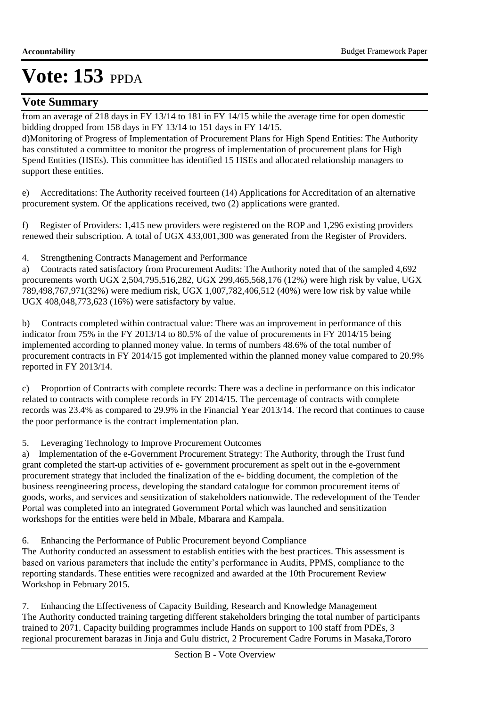## **Vote Summary**

from an average of 218 days in FY 13/14 to 181 in FY 14/15 while the average time for open domestic bidding dropped from 158 days in FY 13/14 to 151 days in FY 14/15.

d) Monitoring of Progress of Implementation of Procurement Plans for High Spend Entities: The Authority has constituted a committee to monitor the progress of implementation of procurement plans for High Spend Entities (HSEs). This committee has identified 15 HSEs and allocated relationship managers to support these entities.

e) Accreditations: The Authority received fourteen (14) Applications for Accreditation of an alternative procurement system. Of the applications received, two (2) applications were granted.

f) Register of Providers: 1,415 new providers were registered on the ROP and 1,296 existing providers renewed their subscription. A total of UGX 433,001,300 was generated from the Register of Providers.

4. Strengthening Contracts Management and Performance

a) Contracts rated satisfactory from Procurement Audits: The Authority noted that of the sampled 4,692 procurements worth UGX 2,504,795,516,282, UGX 299,465,568,176 (12%) were high risk by value, UGX 789,498,767,971(32%) were medium risk, UGX 1,007,782,406,512 (40%) were low risk by value while UGX 408,048,773,623 (16%) were satisfactory by value.

b) Contracts completed within contractual value: There was an improvement in performance of this indicator from 75% in the FY 2013/14 to 80.5% of the value of procurements in FY 2014/15 being implemented according to planned money value. In terms of numbers 48.6% of the total number of procurement contracts in FY 2014/15 got implemented within the planned money value compared to 20.9% reported in FY 2013/14.

c) Proportion of Contracts with complete records: There was a decline in performance on this indicator related to contracts with complete records in FY 2014/15. The percentage of contracts with complete records was 23.4% as compared to 29.9% in the Financial Year 2013/14. The record that continues to cause the poor performance is the contract implementation plan.

5. Leveraging Technology to Improve Procurement Outcomes

a) Implementation of the e-Government Procurement Strategy: The Authority, through the Trust fund grant completed the start-up activities of e- government procurement as spelt out in the e-government procurement strategy that included the finalization of the e- bidding document, the completion of the business reengineering process, developing the standard catalogue for common procurement items of goods, works, and services and sensitization of stakeholders nationwide. The redevelopment of the Tender Portal was completed into an integrated Government Portal which was launched and sensitization workshops for the entities were held in Mbale, Mbarara and Kampala.

6. Enhancing the Performance of Public Procurement beyond Compliance

The Authority conducted an assessment to establish entities with the best practices. This assessment is based on various parameters that include the entity's performance in Audits, PPMS, compliance to the reporting standards. These entities were recognized and awarded at the 10th Procurement Review Workshop in February 2015.

7. Enhancing the Effectiveness of Capacity Building, Research and Knowledge Management The Authority conducted training targeting different stakeholders bringing the total number of participants trained to 2071. Capacity building programmes include Hands on support to 100 staff from PDEs, 3 regional procurement barazas in Jinja and Gulu district, 2 Procurement Cadre Forums in Masaka,Tororo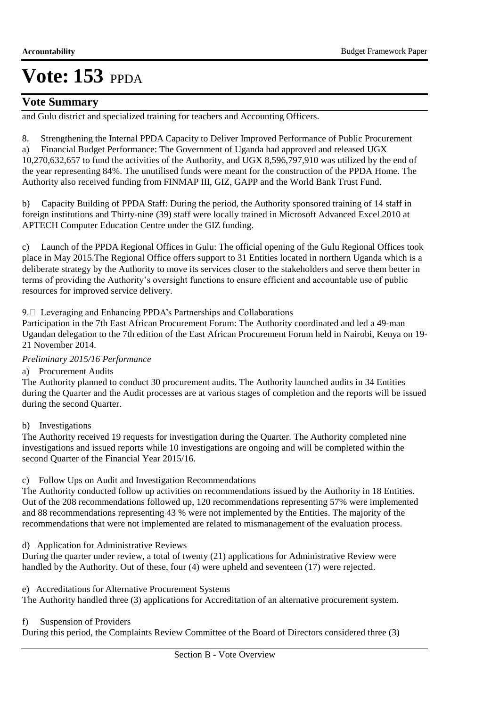### **Vote Summary**

and Gulu district and specialized training for teachers and Accounting Officers.

8. Strengthening the Internal PPDA Capacity to Deliver Improved Performance of Public Procurement

a) Financial Budget Performance: The Government of Uganda had approved and released UGX 10,270,632,657 to fund the activities of the Authority, and UGX 8,596,797,910 was utilized by the end of the year representing 84%. The unutilised funds were meant for the construction of the PPDA Home. The Authority also received funding from FINMAP III, GIZ, GAPP and the World Bank Trust Fund.

b) Capacity Building of PPDA Staff: During the period, the Authority sponsored training of 14 staff in foreign institutions and Thirty-nine (39) staff were locally trained in Microsoft Advanced Excel 2010 at APTECH Computer Education Centre under the GIZ funding.

c) Launch of the PPDA Regional Offices in Gulu: The official opening of the Gulu Regional Offices took place in May 2015.The Regional Office offers support to 31 Entities located in northern Uganda which is a deliberate strategy by the Authority to move its services closer to the stakeholders and serve them better in terms of providing the Authority's oversight functions to ensure efficient and accountable use of public resources for improved service delivery.

### 9. Leveraging and Enhancing PPDA's Partnerships and Collaborations

Participation in the 7th East African Procurement Forum: The Authority coordinated and led a 49-man Ugandan delegation to the 7th edition of the East African Procurement Forum held in Nairobi, Kenya on 19- 21 November 2014.

### *Preliminary 2015/16 Performance*

a) Procurement Audits

The Authority planned to conduct 30 procurement audits. The Authority launched audits in 34 Entities during the Quarter and the Audit processes are at various stages of completion and the reports will be issued during the second Quarter.

### b) Investigations

The Authority received 19 requests for investigation during the Quarter. The Authority completed nine investigations and issued reports while 10 investigations are ongoing and will be completed within the second Quarter of the Financial Year 2015/16.

### c) Follow Ups on Audit and Investigation Recommendations

The Authority conducted follow up activities on recommendations issued by the Authority in 18 Entities. Out of the 208 recommendations followed up, 120 recommendations representing 57% were implemented and 88 recommendations representing 43 % were not implemented by the Entities. The majority of the recommendations that were not implemented are related to mismanagement of the evaluation process.

d) Application for Administrative Reviews

During the quarter under review, a total of twenty (21) applications for Administrative Review were handled by the Authority. Out of these, four (4) were upheld and seventeen (17) were rejected.

e) Accreditations for Alternative Procurement Systems

The Authority handled three (3) applications for Accreditation of an alternative procurement system.

### f) Suspension of Providers

During this period, the Complaints Review Committee of the Board of Directors considered three (3)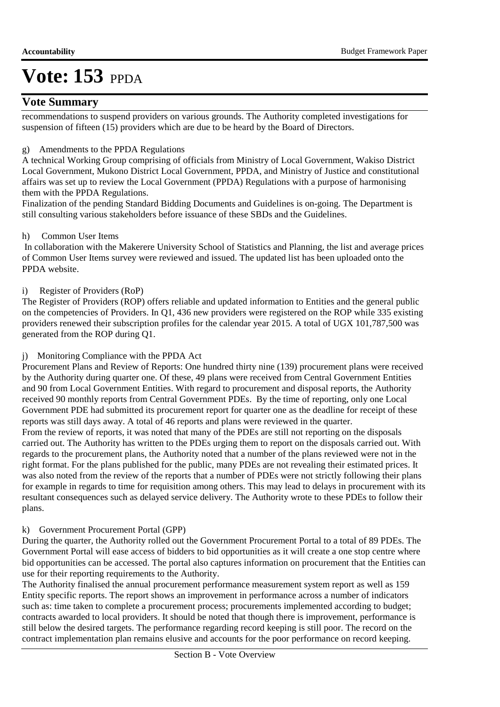### **Vote Summary**

recommendations to suspend providers on various grounds. The Authority completed investigations for suspension of fifteen  $(15)$  providers which are due to be heard by the Board of Directors.

### g) Amendments to the PPDA Regulations

A technical Working Group comprising of officials from Ministry of Local Government, Wakiso District Local Government, Mukono District Local Government, PPDA, and Ministry of Justice and constitutional affairs was set up to review the Local Government (PPDA) Regulations with a purpose of harmonising them with the PPDA Regulations.

Finalization of the pending Standard Bidding Documents and Guidelines is on-going. The Department is still consulting various stakeholders before issuance of these SBDs and the Guidelines.

### h) Common User Items

 In collaboration with the Makerere University School of Statistics and Planning, the list and average prices of Common User Items survey were reviewed and issued. The updated list has been uploaded onto the PPDA website.

### i) Register of Providers (RoP)

The Register of Providers (ROP) offers reliable and updated information to Entities and the general public on the competencies of Providers. In Q1, 436 new providers were registered on the ROP while 335 existing providers renewed their subscription profiles for the calendar year 2015. A total of UGX 101,787,500 was generated from the ROP during Q1.

### j) Monitoring Compliance with the PPDA Act

Procurement Plans and Review of Reports: One hundred thirty nine (139) procurement plans were received by the Authority during quarter one. Of these, 49 plans were received from Central Government Entities and 90 from Local Government Entities. With regard to procurement and disposal reports, the Authority received 90 monthly reports from Central Government PDEs. By the time of reporting, only one Local Government PDE had submitted its procurement report for quarter one as the deadline for receipt of these reports was still days away. A total of 46 reports and plans were reviewed in the quarter.

From the review of reports, it was noted that many of the PDEs are still not reporting on the disposals carried out. The Authority has written to the PDEs urging them to report on the disposals carried out. With regards to the procurement plans, the Authority noted that a number of the plans reviewed were not in the right format. For the plans published for the public, many PDEs are not revealing their estimated prices. It was also noted from the review of the reports that a number of PDEs were not strictly following their plans for example in regards to time for requisition among others. This may lead to delays in procurement with its resultant consequences such as delayed service delivery. The Authority wrote to these PDEs to follow their plans.

### k) Government Procurement Portal (GPP)

During the quarter, the Authority rolled out the Government Procurement Portal to a total of 89 PDEs. The Government Portal will ease access of bidders to bid opportunities as it will create a one stop centre where bid opportunities can be accessed. The portal also captures information on procurement that the Entities can use for their reporting requirements to the Authority.

The Authority finalised the annual procurement performance measurement system report as well as 159 Entity specific reports. The report shows an improvement in performance across a number of indicators such as: time taken to complete a procurement process; procurements implemented according to budget; contracts awarded to local providers. It should be noted that though there is improvement, performance is still below the desired targets. The performance regarding record keeping is still poor. The record on the contract implementation plan remains elusive and accounts for the poor performance on record keeping.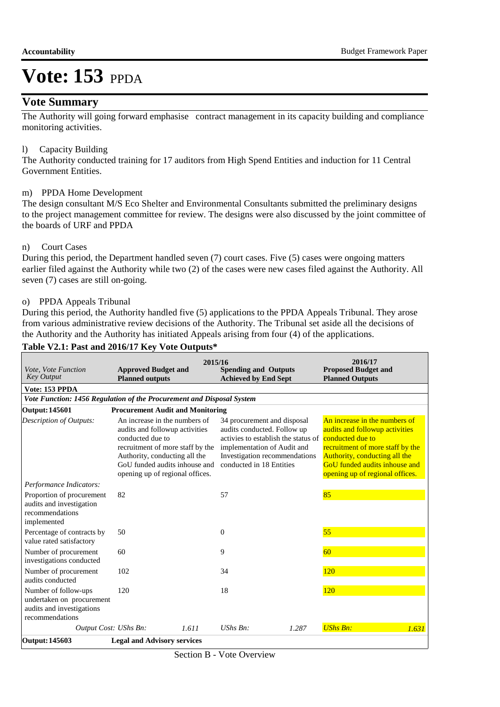### **Vote Summary**

The Authority will going forward emphasise contract management in its capacity building and compliance monitoring activities.

### l) Capacity Building

The Authority conducted training for 17 auditors from High Spend Entities and induction for 11 Central Government Entities.

### m) PPDA Home Development

The design consultant M/S Eco Shelter and Environmental Consultants submitted the preliminary designs to the project management committee for review. The designs were also discussed by the joint committee of the boards of URF and PPDA

### n) Court Cases

During this period, the Department handled seven (7) court cases. Five (5) cases were ongoing matters earlier filed against the Authority while two (2) of the cases were new cases filed against the Authority. All seven (7) cases are still on-going.

### o) PPDA Appeals Tribunal

During this period, the Authority handled five (5) applications to the PPDA Appeals Tribunal. They arose from various administrative review decisions of the Authority. The Tribunal set aside all the decisions of the Authority and the Authority has initiated Appeals arising from four (4) of the applications. **Table V2.1: Past and 2016/17 Key Vote Outputs\***

| Vote, Vote Function<br><b>Key Output</b>                                                          | 2015/16<br><b>Approved Budget and</b><br><b>Planned outputs</b>                                                                                                                                                              | <b>Spending and Outputs</b><br><b>Achieved by End Sept</b>                                                                                                                                    | 2016/17<br><b>Proposed Budget and</b><br><b>Planned Outputs</b>                                                                                                                                                              |  |  |  |  |  |  |  |  |
|---------------------------------------------------------------------------------------------------|------------------------------------------------------------------------------------------------------------------------------------------------------------------------------------------------------------------------------|-----------------------------------------------------------------------------------------------------------------------------------------------------------------------------------------------|------------------------------------------------------------------------------------------------------------------------------------------------------------------------------------------------------------------------------|--|--|--|--|--|--|--|--|
| Vote: 153 PPDA                                                                                    |                                                                                                                                                                                                                              |                                                                                                                                                                                               |                                                                                                                                                                                                                              |  |  |  |  |  |  |  |  |
| Vote Function: 1456 Regulation of the Procurement and Disposal System                             |                                                                                                                                                                                                                              |                                                                                                                                                                                               |                                                                                                                                                                                                                              |  |  |  |  |  |  |  |  |
| <b>Output: 145601</b>                                                                             | <b>Procurement Audit and Monitoring</b>                                                                                                                                                                                      |                                                                                                                                                                                               |                                                                                                                                                                                                                              |  |  |  |  |  |  |  |  |
| Description of Outputs:                                                                           | An increase in the numbers of<br>audits and followup activities<br>conducted due to<br>recruitment of more staff by the<br>Authority, conducting all the<br>GoU funded audits inhouse and<br>opening up of regional offices. | 34 procurement and disposal<br>audits conducted. Follow up<br>activies to establish the status of<br>implementation of Audit and<br>Investigation recommendations<br>conducted in 18 Entities | An increase in the numbers of<br>audits and followup activities<br>conducted due to<br>recruitment of more staff by the<br>Authority, conducting all the<br>GoU funded audits inhouse and<br>opening up of regional offices. |  |  |  |  |  |  |  |  |
| Performance Indicators:                                                                           |                                                                                                                                                                                                                              |                                                                                                                                                                                               |                                                                                                                                                                                                                              |  |  |  |  |  |  |  |  |
| Proportion of procurement<br>audits and investigation<br>recommendations<br>implemented           | 82                                                                                                                                                                                                                           | 57                                                                                                                                                                                            | 85                                                                                                                                                                                                                           |  |  |  |  |  |  |  |  |
| Percentage of contracts by<br>value rated satisfactory                                            | 50                                                                                                                                                                                                                           | $\Omega$                                                                                                                                                                                      | 55                                                                                                                                                                                                                           |  |  |  |  |  |  |  |  |
| Number of procurement<br>investigations conducted                                                 | 60                                                                                                                                                                                                                           | 9                                                                                                                                                                                             | 60                                                                                                                                                                                                                           |  |  |  |  |  |  |  |  |
| Number of procurement<br>audits conducted                                                         | 102                                                                                                                                                                                                                          | 34                                                                                                                                                                                            | 120                                                                                                                                                                                                                          |  |  |  |  |  |  |  |  |
| Number of follow-ups<br>undertaken on procurement<br>audits and investigations<br>recommendations | 120                                                                                                                                                                                                                          | 18                                                                                                                                                                                            | 120                                                                                                                                                                                                                          |  |  |  |  |  |  |  |  |
| Output Cost: UShs Bn:                                                                             | 1.611                                                                                                                                                                                                                        | $UShs Bn$ :<br>1.287                                                                                                                                                                          | <b>UShs Bn:</b><br>1.631                                                                                                                                                                                                     |  |  |  |  |  |  |  |  |
| <b>Output: 145603</b>                                                                             | <b>Legal and Advisory services</b>                                                                                                                                                                                           |                                                                                                                                                                                               |                                                                                                                                                                                                                              |  |  |  |  |  |  |  |  |

### Section B - Vote Overview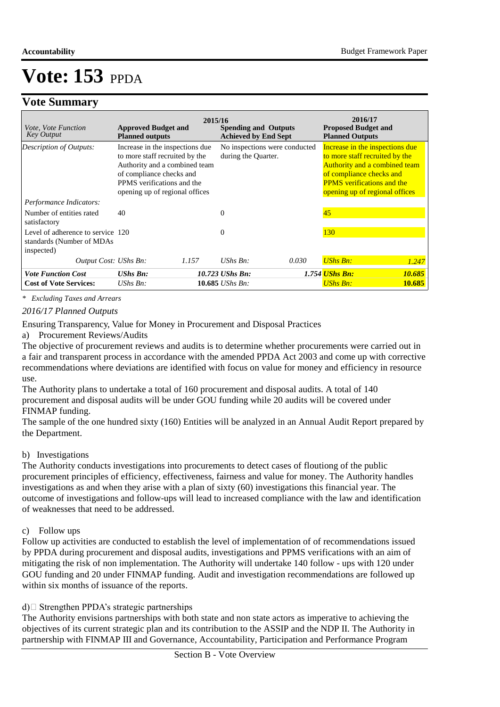### **Vote Summary**

| <i>Vote, Vote Function</i><br><b>Key Output</b>                              | <b>Approved Budget and</b><br><b>Planned outputs</b>                                                                                                                                           | 2015/16 | <b>Spending and Outputs</b><br><b>Achieved by End Sept</b> |       | 2016/17<br><b>Proposed Budget and</b><br><b>Planned Outputs</b>                                                                                                                                       |        |
|------------------------------------------------------------------------------|------------------------------------------------------------------------------------------------------------------------------------------------------------------------------------------------|---------|------------------------------------------------------------|-------|-------------------------------------------------------------------------------------------------------------------------------------------------------------------------------------------------------|--------|
| <b>Description of Outputs:</b>                                               | Increase in the inspections due<br>to more staff recruited by the<br>Authority and a combined team<br>of compliance checks and<br>PPMS verifications and the<br>opening up of regional offices |         | No inspections were conducted<br>during the Quarter.       |       | Increase in the inspections due<br>to more staff recruited by the<br>Authority and a combined team<br>of compliance checks and<br><b>PPMS</b> verifications and the<br>opening up of regional offices |        |
| Performance Indicators:                                                      |                                                                                                                                                                                                |         |                                                            |       |                                                                                                                                                                                                       |        |
| Number of entities rated<br>satisfactory                                     | 40                                                                                                                                                                                             |         | $\Omega$                                                   |       | 45                                                                                                                                                                                                    |        |
| Level of adherence to service 120<br>standards (Number of MDAs<br>inspected) |                                                                                                                                                                                                |         | $\Omega$                                                   |       | <b>130</b>                                                                                                                                                                                            |        |
| Output Cost: UShs Bn:                                                        |                                                                                                                                                                                                | 1.157   | $UShs$ $Bn$ :                                              | 0.030 | <b>UShs Bn:</b>                                                                                                                                                                                       | 1.247  |
| <b>Vote Function Cost</b>                                                    | <b>UShs Bn:</b>                                                                                                                                                                                |         | 10.723 UShs Bn:                                            |       | 1.754 <mark>UShs Bn:</mark>                                                                                                                                                                           | 10.685 |
| <b>Cost of Vote Services:</b>                                                | $UShs Bn$ :                                                                                                                                                                                    |         | 10.685 <i>UShs Bn</i> :                                    |       | <b>UShs Bn:</b>                                                                                                                                                                                       | 10.685 |

*\* Excluding Taxes and Arrears*

*2016/17 Planned Outputs*

 Ensuring Transparency, Value for Money in Procurement and Disposal Practices

a) Procurement Reviews/Audits

The objective of procurement reviews and audits is to determine whether procurements were carried out in a fair and transparent process in accordance with the amended PPDA Act 2003 and come up with corrective recommendations where deviations are identified with focus on value for money and efficiency in resource use.

The Authority plans to undertake a total of 160 procurement and disposal audits. A total of 140 procurement and disposal audits will be under GOU funding while 20 audits will be covered under FINMAP funding.

The sample of the one hundred sixty (160) Entities will be analyzed in an Annual Audit Report prepared by the Department.

### b) Investigations

The Authority conducts investigations into procurements to detect cases of floutiong of the public procurement principles of efficiency, effectiveness, fairness and value for money. The Authority handles investigations as and when they arise with a plan of sixty (60) investigations this financial year. The outcome of investigations and follow-ups will lead to increased compliance with the law and identification of weaknesses that need to be addressed.

### c) Follow ups

Follow up activities are conducted to establish the level of implementation of of recommendations issued by PPDA during procurement and disposal audits, investigations and PPMS verifications with an aim of mitigating the risk of non implementation. The Authority will undertake 140 follow - ups with 120 under GOU funding and 20 under FINMAP funding. Audit and investigation recommendations are followed up within six months of issuance of the reports.

 $d)$  Strengthen PPDA's strategic partnerships

The Authority envisions partnerships with both state and non state actors as imperative to achieving the objectives of its current strategic plan and its contribution to the ASSIP and the NDP II. The Authority in partnership with FINMAP III and Governance, Accountability, Participation and Performance Program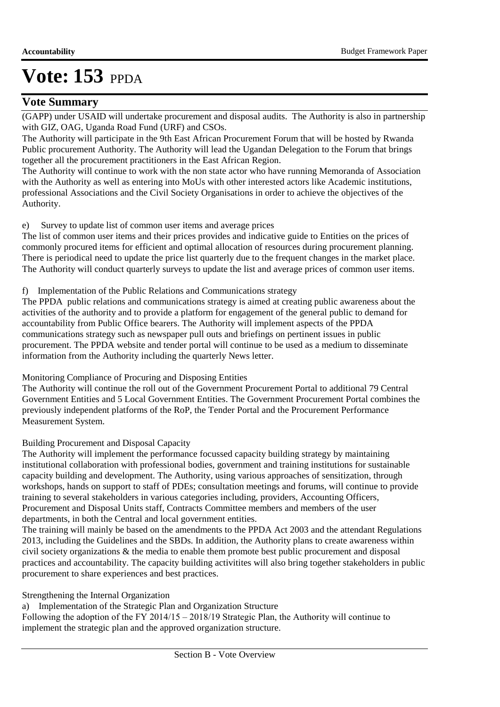### **Vote Summary**

(GAPP) under USAID will undertake procurement and disposal audits. The Authority is also in partnership with GIZ, OAG, Uganda Road Fund (URF) and CSOs.

The Authority will participate in the 9th East African Procurement Forum that will be hosted by Rwanda Public procurement Authority. The Authority will lead the Ugandan Delegation to the Forum that brings together all the procurement practitioners in the East African Region.

The Authority will continue to work with the non state actor who have running Memoranda of Association with the Authority as well as entering into MoUs with other interested actors like Academic institutions, professional Associations and the Civil Society Organisations in order to achieve the objectives of the Authority.

e) Survey to update list of common user items and average prices

The list of common user items and their prices provides and indicative guide to Entities on the prices of commonly procured items for efficient and optimal allocation of resources during procurement planning. There is periodical need to update the price list quarterly due to the frequent changes in the market place. The Authority will conduct quarterly surveys to update the list and average prices of common user items.

### f) Implementation of the Public Relations and Communications strategy

The PPDA public relations and communications strategy is aimed at creating public awareness about the activities of the authority and to provide a platform for engagement of the general public to demand for accountability from Public Office bearers. The Authority will implement aspects of the PPDA communications strategy such as newspaper pull outs and briefings on pertinent issues in public procurement. The PPDA website and tender portal will continue to be used as a medium to disseminate information from the Authority including the quarterly News letter.

 Monitoring Compliance of Procuring and Disposing Entities

The Authority will continue the roll out of the Government Procurement Portal to additional 79 Central Government Entities and 5 Local Government Entities. The Government Procurement Portal combines the previously independent platforms of the RoP, the Tender Portal and the Procurement Performance Measurement System.

### Building Procurement and Disposal Capacity

The Authority will implement the performance focussed capacity building strategy by maintaining institutional collaboration with professional bodies, government and training institutions for sustainable capacity building and development. The Authority, using various approaches of sensitization, through workshops, hands on support to staff of PDEs; consultation meetings and forums, will continue to provide training to several stakeholders in various categories including, providers, Accounting Officers, Procurement and Disposal Units staff, Contracts Committee members and members of the user departments, in both the Central and local government entities.

The training will mainly be based on the amendments to the PPDA Act 2003 and the attendant Regulations 2013, including the Guidelines and the SBDs. In addition, the Authority plans to create awareness within civil society organizations & the media to enable them promote best public procurement and disposal practices and accountability. The capacity building activitites will also bring together stakeholders in public procurement to share experiences and best practices.

### Strengthening the Internal Organization

a) Implementation of the Strategic Plan and Organization Structure

Following the adoption of the FY 2014/15 – 2018/19 Strategic Plan, the Authority will continue to implement the strategic plan and the approved organization structure.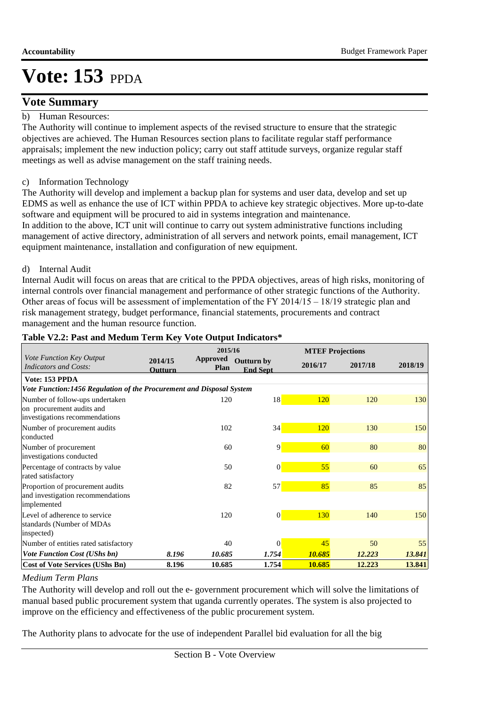### **Vote Summary**

### b) Human Resources:

The Authority will continue to implement aspects of the revised structure to ensure that the strategic objectives are achieved. The Human Resources section plans to facilitate regular staff performance appraisals; implement the new induction policy; carry out staff attitude surveys, organize regular staff meetings as well as advise management on the staff training needs.

### c) Information Technology

The Authority will develop and implement a backup plan for systems and user data, develop and set up EDMS as well as enhance the use of ICT within PPDA to achieve key strategic objectives. More up-to-date software and equipment will be procured to aid in systems integration and maintenance.

In addition to the above, ICT unit will continue to carry out system administrative functions including management of active directory, administration of all servers and network points, email management, ICT equipment maintenance, installation and configuration of new equipment.

### d) Internal Audit

Internal Audit will focus on areas that are critical to the PPDA objectives, areas of high risks, monitoring of internal controls over financial management and performance of other strategic functions of the Authority. Other areas of focus will be assessment of implementation of the FY 2014/15 – 18/19 strategic plan and risk management strategy, budget performance, financial statements, procurements and contract management and the human resource function.

| rabic $\overline{1}$ and any nically relatively                                      |                           | <i>voie output muneators</i><br>2015/16                         |                 |            | <b>MTEF Projections</b> |         |  |
|--------------------------------------------------------------------------------------|---------------------------|-----------------------------------------------------------------|-----------------|------------|-------------------------|---------|--|
| Vote Function Key Output<br>Indicators and Costs:                                    | 2014/15<br><b>Outturn</b> | <b>Approved</b><br><b>Outturn by</b><br>Plan<br><b>End Sept</b> |                 | 2016/17    | 2017/18                 | 2018/19 |  |
| Vote: 153 PPDA                                                                       |                           |                                                                 |                 |            |                         |         |  |
| Vote Function:1456 Regulation of the Procurement and Disposal System                 |                           |                                                                 |                 |            |                         |         |  |
| Number of follow-ups undertaken<br>on procurement audits and                         |                           | 120                                                             | 18              | <b>120</b> | 120                     | 130     |  |
| investigations recommendations                                                       |                           |                                                                 |                 |            |                         |         |  |
| Number of procurement audits<br>conducted                                            |                           | 102                                                             | 34              | <b>120</b> | 130                     | 150     |  |
| Number of procurement<br>investigations conducted                                    |                           | 60                                                              | $\overline{9}$  | 60         | 80                      | 80      |  |
| Percentage of contracts by value<br>rated satisfactory                               |                           | 50                                                              | $\vert 0 \vert$ | 55         | 60                      | 65      |  |
| Proportion of procurement audits<br>and investigation recommendations<br>implemented |                           | 82                                                              | 57              | 85         | 85                      | 85      |  |
| Level of adherence to service<br>standards (Number of MDAs<br>inspected)             |                           | 120                                                             | $\vert 0 \vert$ | <b>130</b> | 140                     | 150     |  |
| Number of entities rated satisfactory                                                |                           | 40                                                              | $\Omega$        | 45         | 50                      | 55      |  |
| <b>Vote Function Cost (UShs bn)</b>                                                  | 8.196                     | 10.685                                                          | 1.754           | 10.685     | 12.223                  | 13.841  |  |
| <b>Cost of Vote Services (UShs Bn)</b>                                               | 8.196                     | 10.685                                                          | 1.754           | 10.685     | 12.223                  | 13.841  |  |

### **Table V2.2: Past and Medum Term Key Vote Output Indicators\***

### *Medium Term Plans*

The Authority will develop and roll out the e- government procurement which will solve the limitations of manual based public procurement system that uganda currently operates. The system is also projected to improve on the efficiency and effectiveness of the public procurement system.

The Authority plans to advocate for the use of independent Parallel bid evaluation for all the big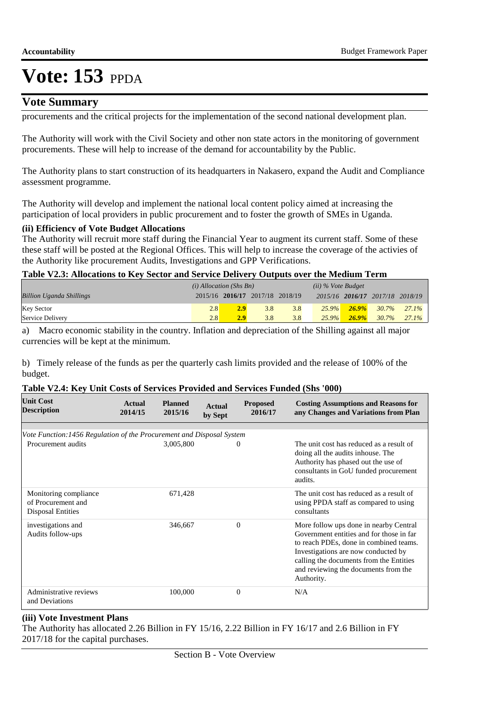### **Vote Summary**

procurements and the critical projects for the implementation of the second national development plan.

The Authority will work with the Civil Society and other non state actors in the monitoring of government procurements. These will help to increase of the demand for accountability by the Public.

The Authority plans to start construction of its headquarters in Nakasero, expand the Audit and Compliance assessment programme.

The Authority will develop and implement the national local content policy aimed at increasing the participation of local providers in public procurement and to foster the growth of SMEs in Uganda.

### **(ii) Efficiency of Vote Budget Allocations**

The Authority will recruit more staff during the Financial Year to augment its current staff. Some of these these staff will be posted at the Regional Offices. This will help to increase the coverage of the activies of the Authority like procurement Audits, Investigations and GPP Verifications.

### **Table V2.3: Allocations to Key Sector and Service Delivery Outputs over the Medium Term**

|                                 | $(i)$ Allocation (Shs Bn) |                  |                                 | $(ii)$ % Vote Budget |          |          |                                 |          |
|---------------------------------|---------------------------|------------------|---------------------------------|----------------------|----------|----------|---------------------------------|----------|
| <b>Billion Uganda Shillings</b> |                           |                  | 2015/16 2016/17 2017/18 2018/19 |                      |          |          | 2015/16 2016/17 2017/18 2018/19 |          |
| <b>Key Sector</b>               | 2.8                       | 2.9              | 3.8                             | 3.8                  | $25.9\%$ | $26.9\%$ | 30.7%                           | $27.1\%$ |
| Service Delivery                | 2.8                       | 2.9 <sup>°</sup> | 3.8                             | 3.8                  | $25.9\%$ | $26.9\%$ | 30.7%                           | 27.1%    |

a) Macro economic stability in the country. Inflation and depreciation of the Shilling against all major currencies will be kept at the minimum.

b) Timely release of the funds as per the quarterly cash limits provided and the release of 100% of the budget.

#### **Table V2.4: Key Unit Costs of Services Provided and Services Funded (Shs '000)**

| <b>Unit Cost</b><br><b>Description</b>                                  | <b>Actual</b><br>2014/15 | <b>Planned</b><br>2015/16 | <b>Actual</b><br>by Sept | <b>Proposed</b><br>2016/17 | <b>Costing Assumptions and Reasons for</b><br>any Changes and Variations from Plan                                                                                                                                                                                   |
|-------------------------------------------------------------------------|--------------------------|---------------------------|--------------------------|----------------------------|----------------------------------------------------------------------------------------------------------------------------------------------------------------------------------------------------------------------------------------------------------------------|
|                                                                         |                          |                           |                          |                            |                                                                                                                                                                                                                                                                      |
| Vote Function: 1456 Regulation of the Procurement and Disposal System   |                          |                           |                          |                            |                                                                                                                                                                                                                                                                      |
| Procurement audits                                                      |                          | 3,005,800                 |                          | $\theta$                   | The unit cost has reduced as a result of<br>doing all the audits inhouse. The<br>Authority has phased out the use of<br>consultants in GoU funded procurement<br>audits.                                                                                             |
| Monitoring compliance<br>of Procurement and<br><b>Disposal Entities</b> |                          | 671,428                   |                          |                            | The unit cost has reduced as a result of<br>using PPDA staff as compared to using<br>consultants                                                                                                                                                                     |
| investigations and<br>Audits follow-ups                                 |                          | 346,667                   |                          | $\Omega$                   | More follow ups done in nearby Central<br>Government entities and for those in far<br>to reach PDEs, done in combined teams.<br>Investigations are now conducted by<br>calling the documents from the Entities<br>and reviewing the documents from the<br>Authority. |
| Administrative reviews<br>and Deviations                                |                          | 100,000                   |                          | $\mathbf{0}$               | N/A                                                                                                                                                                                                                                                                  |

### **(iii) Vote Investment Plans**

The Authority has allocated 2.26 Billion in FY 15/16, 2.22 Billion in FY 16/17 and 2.6 Billion in FY 2017/18 for the capital purchases.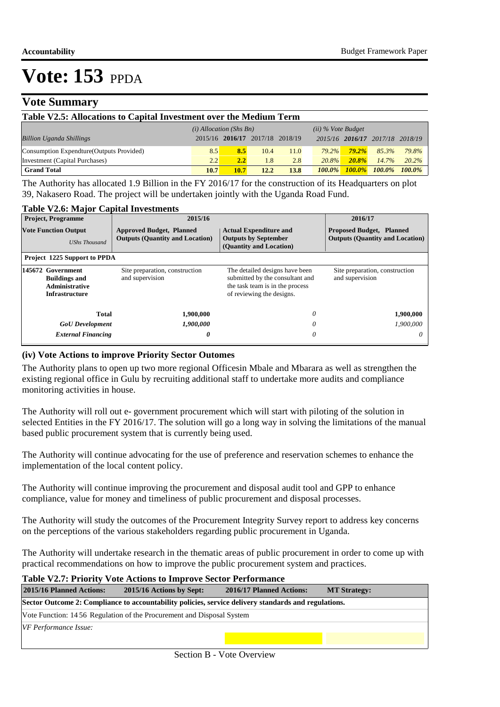### **Vote Summary**

| Table V2.5: Allocations to Capital Investment over the Medium Term |                           |      |                         |      |                      |                                 |           |           |  |  |  |
|--------------------------------------------------------------------|---------------------------|------|-------------------------|------|----------------------|---------------------------------|-----------|-----------|--|--|--|
|                                                                    | $(i)$ Allocation (Shs Bn) |      |                         |      | $(ii)$ % Vote Budget |                                 |           |           |  |  |  |
| <b>Billion Uganda Shillings</b>                                    | 2015/16                   |      | 2016/17 2017/18 2018/19 |      |                      | 2015/16 2016/17 2017/18 2018/19 |           |           |  |  |  |
| Consumption Expendture (Outputs Provided)                          | 8.5                       | 8.5  | 10.4                    | 11.0 | $79.2\%$             | $79.2\%$                        | 85.3%     | 79.8%     |  |  |  |
| Investment (Capital Purchases)                                     | 2.2                       | 2.2  | 1.8                     | 2.8  | $20.8\%$             | $20.8\%$                        | 14.7%     | $20.2\%$  |  |  |  |
| <b>Grand Total</b>                                                 | 10.7                      | 10.7 | 12.2                    | 13.8 | $100.0\%$            | $100.0\%$                       | $100.0\%$ | $100.0\%$ |  |  |  |

The Authority has allocated 1.9 Billion in the FY 2016/17 for the construction of its Headquarters on plot 39, Nakasero Road. The project will be undertaken jointly with the Uganda Road Fund.

### **Table V2.6: Major Capital Investments**

| <b>Project, Programme</b>                                                                   | 2015/16                                                                                                                                                                                |                                                                                         | 2016/17                                                                   |
|---------------------------------------------------------------------------------------------|----------------------------------------------------------------------------------------------------------------------------------------------------------------------------------------|-----------------------------------------------------------------------------------------|---------------------------------------------------------------------------|
| <b>Vote Function Output</b><br><b>UShs Thousand</b>                                         | <b>Approved Budget, Planned</b><br><b>Outputs (Quantity and Location)</b>                                                                                                              | <b>Actual Expenditure and</b><br><b>Outputs by September</b><br>(Quantity and Location) | <b>Proposed Budget, Planned</b><br><b>Outputs (Quantity and Location)</b> |
| Project 1225 Support to PPDA                                                                |                                                                                                                                                                                        |                                                                                         |                                                                           |
| 145672 Government<br><b>Buildings and</b><br><b>Administrative</b><br><b>Infrastructure</b> | Site preparation, construction<br>The detailed designs have been<br>and supervision<br>submitted by the consultant and<br>the task team is in the process<br>of reviewing the designs. |                                                                                         | Site preparation, construction<br>and supervision                         |
| Total                                                                                       | 1,900,000                                                                                                                                                                              | 0                                                                                       | 1,900,000                                                                 |
| <b>GoU</b> Development                                                                      | 1,900,000                                                                                                                                                                              | 0                                                                                       | 1,900,000                                                                 |
| <b>External Financing</b>                                                                   | 0                                                                                                                                                                                      | 0                                                                                       | 0                                                                         |

#### **(iv) Vote Actions to improve Priority Sector Outomes**

The Authority plans to open up two more regional Officesin Mbale and Mbarara as well as strengthen the existing regional office in Gulu by recruiting additional staff to undertake more audits and compliance monitoring activities in house.

The Authority will roll out e- government procurement which will start with piloting of the solution in selected Entities in the FY 2016/17. The solution will go a long way in solving the limitations of the manual based public procurement system that is currently being used.

The Authority will continue advocating for the use of preference and reservation schemes to enhance the implementation of the local content policy.

The Authority will continue improving the procurement and disposal audit tool and GPP to enhance compliance, value for money and timeliness of public procurement and disposal processes.

The Authority will study the outcomes of the Procurement Integrity Survey report to address key concerns on the perceptions of the various stakeholders regarding public procurement in Uganda.

The Authority will undertake research in the thematic areas of public procurement in order to come up with practical recommendations on how to improve the public procurement system and practices.

### **Table V2.7: Priority Vote Actions to Improve Sector Performance**

| 2015/16 Planned Actions:                                                                             | 2015/16 Actions by Sept:                                              | 2016/17 Planned Actions: | <b>MT Strategy:</b> |  |  |  |  |
|------------------------------------------------------------------------------------------------------|-----------------------------------------------------------------------|--------------------------|---------------------|--|--|--|--|
| Sector Outcome 2: Compliance to accountability policies, service delivery standards and regulations. |                                                                       |                          |                     |  |  |  |  |
|                                                                                                      | Vote Function: 1456 Regulation of the Procurement and Disposal System |                          |                     |  |  |  |  |
| VF Performance Issue:                                                                                |                                                                       |                          |                     |  |  |  |  |
|                                                                                                      |                                                                       |                          |                     |  |  |  |  |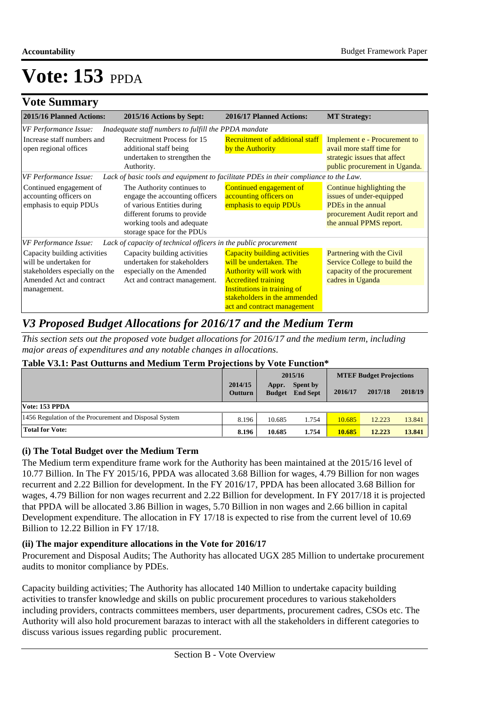## **Vote Summary**

| 2015/16 Planned Actions:                                                                                                                                                                                                                                             | 2015/16 Actions by Sept:                                                                                                 | 2016/17 Planned Actions:                                                                                                                                                                                                      | <b>MT Strategy:</b>                                                                                                                    |  |
|----------------------------------------------------------------------------------------------------------------------------------------------------------------------------------------------------------------------------------------------------------------------|--------------------------------------------------------------------------------------------------------------------------|-------------------------------------------------------------------------------------------------------------------------------------------------------------------------------------------------------------------------------|----------------------------------------------------------------------------------------------------------------------------------------|--|
| VF Performance Issue:                                                                                                                                                                                                                                                | Inadequate staff numbers to fulfill the PPDA mandate                                                                     |                                                                                                                                                                                                                               |                                                                                                                                        |  |
| Increase staff numbers and<br>open regional offices                                                                                                                                                                                                                  | <b>Recruitment Process for 15</b><br>additional staff being<br>undertaken to strengthen the<br>Authority.                | <b>Recruitment of additional staff</b><br>by the Authority                                                                                                                                                                    | Implement e - Procurement to<br>avail more staff time for<br>strategic issues that affect<br>public procurement in Uganda.             |  |
| <b>VF Performance Issue:</b>                                                                                                                                                                                                                                         | Lack of basic tools and equipment to facilitate PDEs in their compliance to the Law.                                     |                                                                                                                                                                                                                               |                                                                                                                                        |  |
| Continued engagement of<br>The Authority continues to<br>accounting officers on<br>engage the accounting officers<br>emphasis to equip PDUs<br>of various Entities during<br>different forums to provide<br>working tools and adequate<br>storage space for the PDUs |                                                                                                                          | Continued engagement of<br>accounting officers on<br>emphasis to equip PDUs                                                                                                                                                   | Continue highlighting the<br>issues of under-equipped<br>PDEs in the annual<br>procurement Audit report and<br>the annual PPMS report. |  |
| VF Performance Issue:                                                                                                                                                                                                                                                | Lack of capacity of technical officers in the public procurement                                                         |                                                                                                                                                                                                                               |                                                                                                                                        |  |
| Capacity building activities<br>will be undertaken for<br>stakeholders especially on the<br>Amended Act and contract<br>management.                                                                                                                                  | Capacity building activities<br>undertaken for stakeholders<br>especially on the Amended<br>Act and contract management. | <b>Capacity building activities</b><br>will be undertaken. The<br><b>Authority will work with</b><br><b>Accredited training</b><br>Institutions in training of<br>stakeholders in the ammended<br>act and contract management | Partnering with the Civil<br>Service College to build the<br>capacity of the procurement<br>cadres in Uganda                           |  |

## *V3 Proposed Budget Allocations for 2016/17 and the Medium Term*

*This section sets out the proposed vote budget allocations for 2016/17 and the medium term, including major areas of expenditures and any notable changes in allocations.* 

### **Table V3.1: Past Outturns and Medium Term Projections by Vote Function\***

|                                                        |                           |                        | 2015/16                     | <b>MTEF Budget Projections</b> |         |         |
|--------------------------------------------------------|---------------------------|------------------------|-----------------------------|--------------------------------|---------|---------|
|                                                        | 2014/15<br><b>Outturn</b> | Appr.<br><b>Budget</b> | Spent by<br><b>End Sept</b> | 2016/17                        | 2017/18 | 2018/19 |
| Vote: 153 PPDA                                         |                           |                        |                             |                                |         |         |
| 1456 Regulation of the Procurement and Disposal System | 8.196                     | 10.685                 | 1.754                       | 10.685                         | 12.223  | 13.841  |
| <b>Total for Vote:</b>                                 | 8.196                     | 10.685                 | 1.754                       | 10.685                         | 12.223  | 13.841  |

### **(i) The Total Budget over the Medium Term**

The Medium term expenditure frame work for the Authority has been maintained at the 2015/16 level of 10.77 Billion. In The FY 2015/16, PPDA was allocated 3.68 Billion for wages, 4.79 Billion for non wages recurrent and 2.22 Billion for development. In the FY 2016/17, PPDA has been allocated 3.68 Billion for wages, 4.79 Billion for non wages recurrent and 2.22 Billion for development. In FY 2017/18 it is projected that PPDA will be allocated 3.86 Billion in wages, 5.70 Billion in non wages and 2.66 billion in capital Development expenditure. The allocation in FY 17/18 is expected to rise from the current level of 10.69 Billion to 12.22 Billion in FY 17/18.

### **(ii) The major expenditure allocations in the Vote for 2016/17**

Procurement and Disposal Audits; The Authority has allocated UGX 285 Million to undertake procurement audits to monitor compliance by PDEs.

Capacity building activities; The Authority has allocated 140 Million to undertake capacity building activities to transfer knowledge and skills on public procurement procedures to various stakeholders including providers, contracts committees members, user departments, procurement cadres, CSOs etc. The Authority will also hold procurement barazas to interact with all the stakeholders in different categories to discuss various issues regarding public procurement.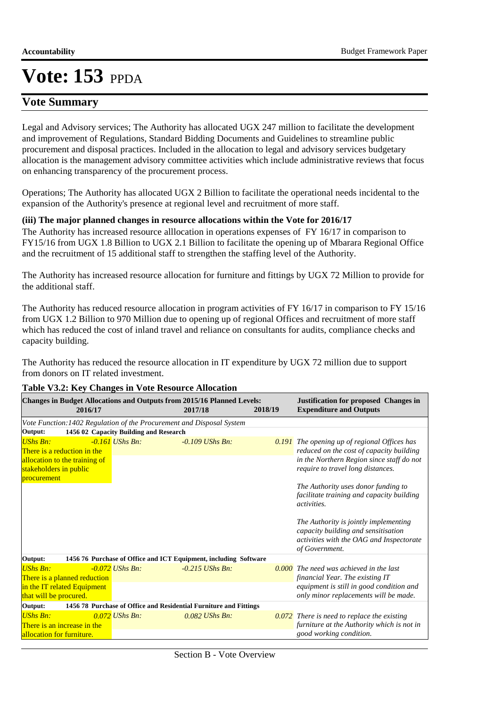### **Vote Summary**

Legal and Advisory services; The Authority has allocated UGX 247 million to facilitate the development and improvement of Regulations, Standard Bidding Documents and Guidelines to streamline public procurement and disposal practices. Included in the allocation to legal and advisory services budgetary allocation is the management advisory committee activities which include administrative reviews that focus on enhancing transparency of the procurement process.

Operations; The Authority has allocated UGX 2 Billion to facilitate the operational needs incidental to the expansion of the Authority's presence at regional level and recruitment of more staff.

### **(iii) The major planned changes in resource allocations within the Vote for 2016/17**

The Authority has increased resource alllocation in operations expenses of FY 16/17 in comparison to FY15/16 from UGX 1.8 Billion to UGX 2.1 Billion to facilitate the opening up of Mbarara Regional Office and the recruitment of 15 additional staff to strengthen the staffing level of the Authority.

The Authority has increased resource allocation for furniture and fittings by UGX 72 Million to provide for the additional staff.

The Authority has reduced resource allocation in program activities of FY 16/17 in comparison to FY 15/16 from UGX 1.2 Billion to 970 Million due to opening up of regional Offices and recruitment of more staff which has reduced the cost of inland travel and reliance on consultants for audits, compliance checks and capacity building.

The Authority has reduced the resource allocation in IT expenditure by UGX 72 million due to support from donors on IT related investment.

| Changes in Budget Allocations and Outputs from 2015/16 Planned Levels:<br>2016/17 |  |                   | 2017/18                                                           | 2018/19 | <b>Justification for proposed Changes in</b><br><b>Expenditure and Outputs</b>                                                               |  |  |  |
|-----------------------------------------------------------------------------------|--|-------------------|-------------------------------------------------------------------|---------|----------------------------------------------------------------------------------------------------------------------------------------------|--|--|--|
| Vote Function: 1402 Regulation of the Procurement and Disposal System             |  |                   |                                                                   |         |                                                                                                                                              |  |  |  |
| 1456 02 Capacity Building and Research<br>Output:                                 |  |                   |                                                                   |         |                                                                                                                                              |  |  |  |
| <b>UShs Bn:</b><br>There is a reduction in the<br>allocation to the training of   |  | $-0.161$ UShs Bn: | $-0.109$ UShs Bn.                                                 |         | <b>0.191</b> The opening up of regional Offices has<br>reduced on the cost of capacity building<br>in the Northern Region since staff do not |  |  |  |
| stakeholders in public                                                            |  |                   |                                                                   |         | require to travel long distances.                                                                                                            |  |  |  |
| procurement                                                                       |  |                   |                                                                   |         |                                                                                                                                              |  |  |  |
|                                                                                   |  |                   |                                                                   |         | The Authority uses donor funding to<br>facilitate training and capacity building<br><i>activities.</i>                                       |  |  |  |
|                                                                                   |  |                   |                                                                   |         | The Authority is jointly implementing<br>capacity building and sensitisation<br>activities with the OAG and Inspectorate<br>of Government.   |  |  |  |
| 1456 76 Purchase of Office and ICT Equipment, including Software<br>Output:       |  |                   |                                                                   |         |                                                                                                                                              |  |  |  |
| <b>UShs Bn:</b><br>There is a planned reduction                                   |  | $-0.072$ UShs Bn: | $-0.215$ UShs Bn:                                                 |         | $0.000$ The need was achieved in the last<br>financial Year. The existing IT                                                                 |  |  |  |
| in the IT related Equipment                                                       |  |                   |                                                                   |         | equipment is still in good condition and                                                                                                     |  |  |  |
| that will be procured.                                                            |  |                   |                                                                   |         | only minor replacements will be made.                                                                                                        |  |  |  |
| Output:                                                                           |  |                   | 1456 78 Purchase of Office and Residential Furniture and Fittings |         |                                                                                                                                              |  |  |  |
| <b>UShs Bn:</b><br>There is an increase in the<br>allocation for furniture.       |  | $0.072$ UShs Bn:  | $0.082$ UShs Bn:                                                  |         | $0.072$ There is need to replace the existing<br>furniture at the Authority which is not in<br>good working condition.                       |  |  |  |
|                                                                                   |  |                   |                                                                   |         |                                                                                                                                              |  |  |  |

### **Table V3.2: Key Changes in Vote Resource Allocation**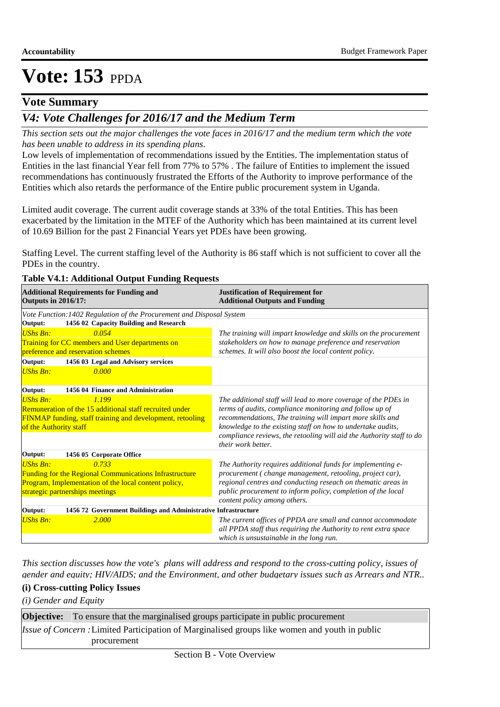### **Vote Summary**

## *V4: Vote Challenges for 2016/17 and the Medium Term*

*This section sets out the major challenges the vote faces in 2016/17 and the medium term which the vote has been unable to address in its spending plans.*

Low levels of implementation of recommendations issued by the Entities. The implementation status of Entities in the last financial Year fell from 77% to 57% . The failure of Entities to implement the issued recommendations has continuously frustrated the Efforts of the Authority to improve performance of the Entities which also retards the performance of the Entire public procurement system in Uganda.

Limited audit coverage. The current audit coverage stands at 33% of the total Entities. This has been exacerbated by the limitation in the MTEF of the Authority which has been maintained at its current level of 10.69 Billion for the past 2 Financial Years yet PDEs have been growing.

Staffing Level. The current staffing level of the Authority is 86 staff which is not sufficient to cover all the PDEs in the country.

#### **Table V4.1: Additional Output Funding Requests**

| <b>Additional Requirements for Funding and</b><br><b>Outputs in 2016/17:</b> | <b>Justification of Requirement for</b><br><b>Additional Outputs and Funding</b>           |
|------------------------------------------------------------------------------|--------------------------------------------------------------------------------------------|
| Vote Function: 1402 Regulation of the Procurement and Disposal System        |                                                                                            |
| 1456 02 Capacity Building and Research<br>Output:                            |                                                                                            |
| <b>UShs Bn:</b><br>0.054                                                     | The training will impart knowledge and skills on the procurement                           |
| Training for CC members and User departments on                              | stakeholders on how to manage preference and reservation                                   |
| preference and reservation schemes                                           | schemes. It will also boost the local content policy.                                      |
| Output:<br>1456 03 Legal and Advisory services                               |                                                                                            |
| <b>UShs Bn:</b><br>0.000                                                     |                                                                                            |
| Output:<br>1456 04 Finance and Administration                                |                                                                                            |
| <b>UShs Bn:</b><br>1.199                                                     | The additional staff will lead to more coverage of the PDEs in                             |
| Remuneration of the 15 additional staff recruited under                      | terms of audits, compliance monitoring and follow up of                                    |
| FINMAP funding, staff training and development, retooling                    | recommendations, The training will impart more skills and                                  |
| of the Authority staff                                                       | knowledge to the existing staff on how to undertake audits,                                |
|                                                                              | compliance reviews, the retooling will aid the Authority staff to do<br>their work better. |
| 1456 05 Corporate Office<br>Output:                                          |                                                                                            |
| <b>UShs Bn:</b><br>0.733                                                     | The Authority requires additional funds for implementing e-                                |
| Funding for the Regional Communications Infrastructure                       | procurement (change management, retooling, project car),                                   |
| Program, Implementation of the local content policy,                         | regional centres and conducting reseach on thematic areas in                               |
| strategic partnerships meetings                                              | public procurement to inform policy, completion of the local                               |
|                                                                              | content policy among others.                                                               |
| 1456 72 Government Buildings and Administrative Infrastructure<br>Output:    |                                                                                            |
| <b>UShs Bn:</b><br>2.000                                                     | The current offices of PPDA are small and cannot accommodate                               |
|                                                                              | all PPDA staff thus requiring the Authority to rent extra space                            |
|                                                                              | which is unsustainable in the long run.                                                    |

*This section discusses how the vote's plans will address and respond to the cross-cutting policy, issues of gender and equity; HIV/AIDS; and the Environment, and other budgetary issues such as Arrears and NTR..* 

### **(i) Cross-cutting Policy Issues**

*(i) Gender and Equity*

| <b>Objective:</b> To ensure that the marginalised groups participate in public procurement            |
|-------------------------------------------------------------------------------------------------------|
| <i>Issue of Concern</i> : Limited Participation of Marginalised groups like women and youth in public |
| procurement                                                                                           |